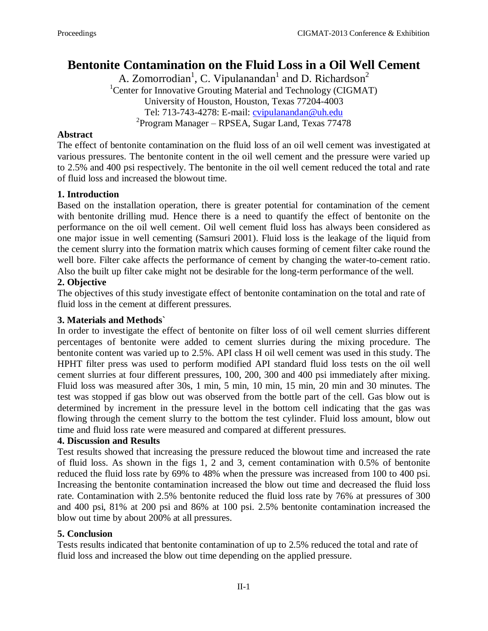# **Bentonite Contamination on the Fluid Loss in a Oil Well Cement**

A. Zomorrodian<sup>1</sup>, C. Vipulanandan<sup>1</sup> and D. Richardson<sup>2</sup> <sup>1</sup>Center for Innovative Grouting Material and Technology (CIGMAT) University of Houston, Houston, Texas 77204-4003 Tel: 713-743-4278: E-mail: [cvipulanandan@uh.edu](mailto:cvipulanandan@uh.edu) <sup>2</sup> Program Manager – RPSEA, Sugar Land, Texas 77478

## **Abstract**

The effect of bentonite contamination on the fluid loss of an oil well cement was investigated at various pressures. The bentonite content in the oil well cement and the pressure were varied up to 2.5% and 400 psi respectively. The bentonite in the oil well cement reduced the total and rate of fluid loss and increased the blowout time.

### **1. Introduction**

Based on the installation operation, there is greater potential for contamination of the cement with bentonite drilling mud. Hence there is a need to quantify the effect of bentonite on the performance on the oil well cement. Oil well cement fluid loss has always been considered as one major issue in well cementing (Samsuri 2001). Fluid loss is the leakage of the liquid from the cement slurry into the formation matrix which causes forming of cement filter cake round the well bore. Filter cake affects the performance of cement by changing the water-to-cement ratio. Also the built up filter cake might not be desirable for the long-term performance of the well.

## **2. Objective**

The objectives of this study investigate effect of bentonite contamination on the total and rate of fluid loss in the cement at different pressures.

## **3. Materials and Methods`**

In order to investigate the effect of bentonite on filter loss of oil well cement slurries different percentages of bentonite were added to cement slurries during the mixing procedure. The bentonite content was varied up to 2.5%. API class H oil well cement was used in this study. The HPHT filter press was used to perform modified API standard fluid loss tests on the oil well cement slurries at four different pressures, 100, 200, 300 and 400 psi immediately after mixing. Fluid loss was measured after 30s, 1 min, 5 min, 10 min, 15 min, 20 min and 30 minutes. The test was stopped if gas blow out was observed from the bottle part of the cell. Gas blow out is determined by increment in the pressure level in the bottom cell indicating that the gas was flowing through the cement slurry to the bottom the test cylinder. Fluid loss amount, blow out time and fluid loss rate were measured and compared at different pressures.

#### **4. Discussion and Results**

Test results showed that increasing the pressure reduced the blowout time and increased the rate of fluid loss. As shown in the figs 1, 2 and 3, cement contamination with 0.5% of bentonite reduced the fluid loss rate by 69% to 48% when the pressure was increased from 100 to 400 psi. Increasing the bentonite contamination increased the blow out time and decreased the fluid loss rate. Contamination with 2.5% bentonite reduced the fluid loss rate by 76% at pressures of 300 and 400 psi, 81% at 200 psi and 86% at 100 psi. 2.5% bentonite contamination increased the blow out time by about 200% at all pressures.

#### **5. Conclusion**

Tests results indicated that bentonite contamination of up to 2.5% reduced the total and rate of fluid loss and increased the blow out time depending on the applied pressure.